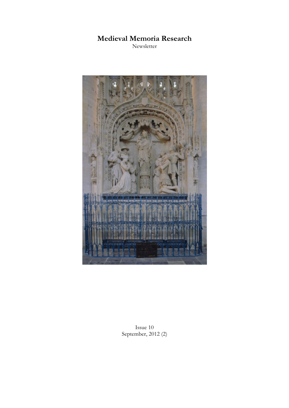# Medieval Memoria Research

Newsletter



Issue 10 September, 2012 (2)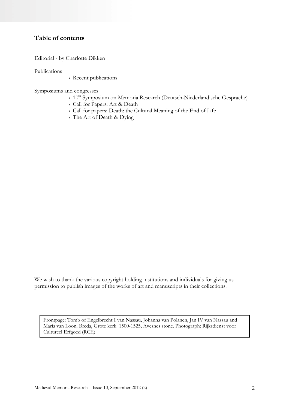#### Table of contents

Editorial - by Charlotte Dikken

Publications

› Recent publications

Symposiums and congresses

- >  $10^{th}$  Symposium on Memoria Research (Deutsch-Niederländische Gespräche)
- › Call for Papers: Art & Death
- › Call for papers: Death: the Cultural Meaning of the End of Life
- › The Art of Death & Dying

We wish to thank the various copyright holding institutions and individuals for giving us permission to publish images of the works of art and manuscripts in their collections.

Frontpage: Tomb of Engelbrecht I van Nassau, Johanna van Polanen, Jan IV van Nassau and Maria van Loon. Breda, Grote kerk. 1500-1525, Avesnes stone. Photograph: Rijksdienst voor Cultureel Erfgoed (RCE).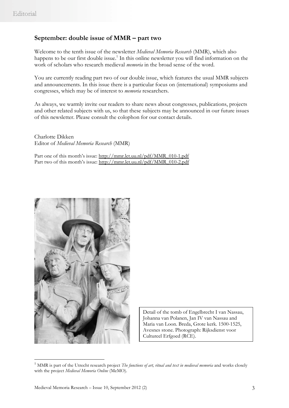#### September: double issue of MMR – part two

Welcome to the tenth issue of the newsletter Medieval Memoria Research (MMR), which also happens to be our first double issue.<sup>1</sup> In this online newsletter you will find information on the work of scholars who research medieval *memoria* in the broad sense of the word.

You are currently reading part two of our double issue, which features the usual MMR subjects and announcements. In this issue there is a particular focus on (international) symposiums and congresses, which may be of interest to memoria researchers.

As always, we warmly invite our readers to share news about congresses, publications, projects and other related subjects with us, so that these subjects may be announced in our future issues of this newsletter. Please consult the colophon for our contact details.

Charlotte Dikken Editor of Medieval Memoria Research (MMR)

Part one of this month's issue: http://mmr.let.uu.nl/pdf/MMR\_010-1.pdf Part two of this month's issue: http://mmr.let.uu.nl/pdf/MMR\_010-2.pdf



Detail of the tomb of Engelbrecht I van Nassau, Johanna van Polanen, Jan IV van Nassau and Maria van Loon. Breda, Grote kerk. 1500-1525, Avesnes stone. Photograph: Rijksdienst voor Cultureel Erfgoed (RCE).

 $\overline{a}$ 

 $1$  MMR is part of the Utrecht research project The functions of art, ritual and text in medieval memoria and works closely with the project Medieval Memoria Online (MeMO).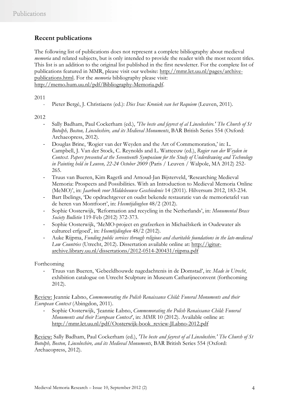## Recent publications

The following list of publications does not represent a complete bibliography about medieval *memoria* and related subjects, but is only intended to provide the reader with the most recent titles. This list is an addition to the original list published in the first newsletter. For the complete list of publications featured in MMR, please visit our website: http://mmr.let.uu.nl/pages/archivepublications.html. For the memoria bibliography please visit: http://memo.hum.uu.nl/pdf/Bibliography-Memoria.pdf.

2011

- Pieter Bergé, J. Christiaens (ed.): *Dies Irae: Kroniek van het Requiem* (Leuven, 2011).

2012

- Sally Badham, Paul Cockerham (ed.), 'The beste and fayrest of al Lincolnshire.' The Church of St Botolph, Boston, Lincolnshire, and its Medieval Monuments, BAR British Series 554 (Oxford: Archaeopress, 2012).
- Douglas Brine, 'Rogier van der Weyden and the Art of Commemoration,' in: L. Campbell, J. Van der Stock, C. Reynolds and L. Watteeuw (ed.), Rogier van der Weyden in Context. Papers presented at the Seventeenth Symposium for the Study of Underdrawing and Technology in Painting held in Leuven, 22-24 October 2009 (Paris / Leuven / Walpole, MA 2012) 252- 265.
- Truus van Bueren, Kim Ragetli and Arnoud-Jan Bijsterveld, 'Researching Medieval Memoria: Prospects and Possibilities. With an Introduction to Medieval Memoria Online (MeMO)', in: Jaarboek voor Middeleeuwse Geschiedenis 14 (2011). Hilversum 2012, 183-234.
- Bart Ibelings, 'De opdrachtgever en oudst bekende restauratie van de memorietafel van de heren van Montfoort', in: Heemtijdinghen 48/2 (2012).
- Sophie Oosterwijk, 'Reformation and recycling in the Netherlands', in: Monumental Brass Society Bulletin 119-Feb (2012) 372-373.
- Sophie Oosterwijk, 'MeMO-project en grafzerken in Michaëlskerk in Oudewater als cultureel erfgoed', in: Heemtijdinghen 48/2 (2012).
- Auke Rijpma, Funding public services through religious and charitable foundations in the late-medieval Low Countries (Utrecht, 2012). Dissertation available online at: http://igiturarchive.library.uu.nl/dissertations/2012-0514-200431/rijpma.pdf

Forthcoming

Truus van Bueren, 'Gebeeldhouwde nagedachtenis in de Domstad', in: Made in Utrecht, exhibition catalogue on Utrecht Sculpture in Museum Catharijneconvent (forthcoming 2012).

Review: Jeannie Łabno, Commemorating the Polish Renaissance Child: Funeral Monuments and their European Context (Abingdon, 2011).

Sophie Oosterwijk, 'Jeannie Łabno, Commemorating the Polish Renaissance Child: Funeral Monuments and their European Context', in: MMR 10 (2012). Available online at: http://mmr.let.uu.nl/pdf/Oosterwijk-book\_review-JLabno-2012.pdf

Review: Sally Badham, Paul Cockerham (ed.), 'The beste and fayrest of al Lincolnshire.' The Church of St Botolph, Boston, Lincolnshire, and its Medieval Monuments, BAR British Series 554 (Oxford: Archaeopress, 2012).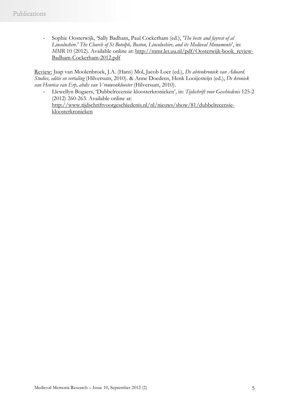Sophie Oosterwijk, 'Sally Badham, Paul Cockerham (ed.), 'The beste and fayrest of al Lincolnshire.' The Church of St Botolph, Boston, Lincolnshire, and its Medieval Monuments', in: MMR 10 (2012). Available online at: http://mmr.let.uu.nl/pdf/Oosterwijk-book\_review-Badham-Cockerham-2012.pdf

Review: Jaap van Moolenbroek, J.A. (Hans) Mol, Jacob Loer (ed.), De abtenkroniek van Aduard. Studies, editie en vertaling (Hilversum, 2010). & Anne Doedens, Henk Looijesteijn (ed.), De kroniek van Henrica van Erp, abdis van Vrouwenklooster (Hilversum, 2010).

- Llewellyn Bogaers, 'Dubbelrecensie kloosterkronieken', in: Tijdschrift voor Geschiedenis 125-2 (2012) 260-263. Available online at: http://www.tijdschriftvoorgeschiedenis.nl/nl/nieuws/show/81/dubbelrecensiekloosterkronieken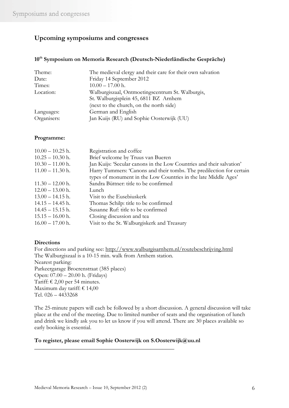### Upcoming symposiums and congresses

#### 10<sup>th</sup> Symposium on Memoria Research (Deutsch-Niederländische Gespräche)

| Theme:      | The medieval clergy and their care for their own salvation |
|-------------|------------------------------------------------------------|
| Date:       | Friday 14 September 2012                                   |
| Times:      | $10.00 - 17.00$ h.                                         |
| Location:   | Walburgiszaal, Ontmoetingscentrum St. Walburgis,           |
|             | St. Walburgisplein 45, 6811 BZ Arnhem                      |
|             | (next to the church, on the north side)                    |
| Languages:  | German and English                                         |
| Organisers: | Jan Kuijs (RU) and Sophie Oosterwijk (UU)                  |

#### Programme:

| Registration and coffee                                              |
|----------------------------------------------------------------------|
| Brief welcome by Truus van Bueren                                    |
| Jan Kuijs: 'Secular canons in the Low Countries and their salvation' |
| Harry Tummers: 'Canons and their tombs. The predilection for certain |
| types of monument in the Low Countries in the late Middle Ages'      |
| Sandra Büttner: title to be confirmed                                |
| Lunch                                                                |
| Visit to the Eusebiuskerk                                            |
| Thomas Schilp: title to be confirmed                                 |
| Susanne Ruf: title to be confirmed                                   |
| Closing discussion and tea                                           |
| Visit to the St. Walburgiskerk and Treasury                          |
|                                                                      |

#### **Directions**

For directions and parking see: http://www.walburgisarnhem.nl/routebeschrijving.html The Walburgiszaal is a 10-15 min. walk from Arnhem station. Nearest parking: Parkeergarage Broerenstraat (385 places) Open: 07.00 – 20.00 h. (Fridays) Tariff: € 2,00 per 54 minutes. Maximum day tariff: € 14,00 Tel. 026 – 4433268

The 25-minute papers will each be followed by a short discussion. A general discussion will take place at the end of the meeting. Due to limited number of seats and the organisation of lunch and drink we kindly ask you to let us know if you will attend. There are 30 places available so early booking is essential.

#### To register, please email Sophie Oosterwijk on S.Oosterwijk@uu.nl

\_\_\_\_\_\_\_\_\_\_\_\_\_\_\_\_\_\_\_\_\_\_\_\_\_\_\_\_\_\_\_\_\_\_\_\_\_\_\_\_\_\_\_\_\_\_\_\_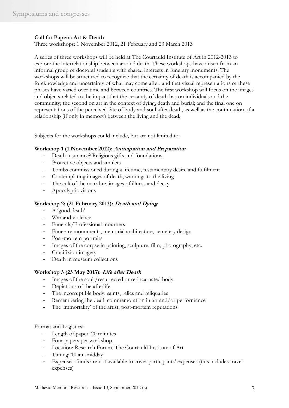#### Call for Papers: Art & Death

Three workshops: 1 November 2012, 21 February and 23 March 2013

A series of three workshops will be held at The Courtauld Institute of Art in 2012-2013 to explore the interrelationship between art and death. These workshops have arisen from an informal group of doctoral students with shared interests in funerary monuments. The workshops will be structured to recognize that the certainty of death is accompanied by the foreknowledge and uncertainty of what may come after, and that visual representations of these phases have varied over time and between countries. The first workshop will focus on the images and objects related to the impact that the certainty of death has on individuals and the community; the second on art in the context of dying, death and burial; and the final one on representations of the perceived fate of body and soul after death, as well as the continuation of a relationship (if only in memory) between the living and the dead.

Subjects for the workshops could include, but are not limited to:

#### Workshop 1 (1 November 2012): Anticipation and Preparation

- Death insurance? Religious gifts and foundations
- Protective objects and amulets
- Tombs commissioned during a lifetime, testamentary desire and fulfilment
- Contemplating images of death, warnings to the living
- The cult of the macabre, images of illness and decay
- Apocalyptic visions

#### Workshop 2: (21 February 2013): Death and Dying

- A 'good death'
- War and violence
- Funerals/Professional mourners
- Funerary monuments, memorial architecture, cemetery design
- Post-mortem portraits
- Images of the corpse in painting, sculpture, film, photography, etc.
- Crucifixion imagery
- Death in museum collections

#### Workshop 3 (23 May 2013): Life after Death

- Images of the soul /resurrected or re-incarnated body
- Depictions of the afterlife
- The incorruptible body, saints, relics and reliquaries
- Remembering the dead, commemoration in art and/or performance
- The 'immortality' of the artist, post-mortem reputations

Format and Logistics:

- Length of paper: 20 minutes
- Four papers per workshop
- Location: Research Forum, The Courtauld Institute of Art
- Timing: 10 am-midday
- Expenses: funds are not available to cover participants' expenses (this includes travel expenses)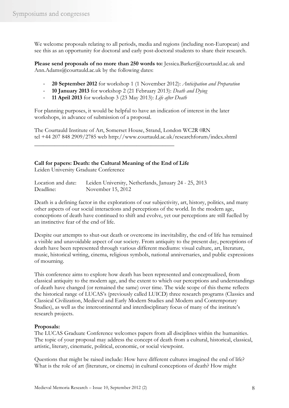We welcome proposals relating to all periods, media and regions (including non-European) and see this as an opportunity for doctoral and early post-doctoral students to share their research.

Please send proposals of no more than 250 words to: Jessica.Barker@courtauld.ac.uk and Ann.Adams@courtauld.ac.uk by the following dates:

- 20 September 2012 for workshop 1 (1 November 2012): Anticipation and Preparation
- **10 January 2013** for workshop 2 (21 February 2013): Death and Dying
- 11 April 2013 for workshop 3 (23 May 2013): Life after Death

For planning purposes, it would be helpful to have an indication of interest in the later workshops, in advance of submission of a proposal.

The Courtauld Institute of Art, Somerset House, Strand, London WC2R 0RN tel +44 207 848 2909/2785 web http://www.courtauld.ac.uk/researchforum/index.shtml

#### Call for papers: Death: the Cultural Meaning of the End of Life

\_\_\_\_\_\_\_\_\_\_\_\_\_\_\_\_\_\_\_\_\_\_\_\_\_\_\_\_\_\_\_\_\_\_\_\_\_\_\_\_\_\_\_\_\_\_\_\_

Leiden University Graduate Conference

| Location and date: | Leiden University, Netherlands, January 24 - 25, 2013 |
|--------------------|-------------------------------------------------------|
| Deadline:          | November 15, 2012                                     |

Death is a defining factor in the explorations of our subjectivity, art, history, politics, and many other aspects of our social interactions and perceptions of the world. In the modern age, conceptions of death have continued to shift and evolve, yet our perceptions are still fuelled by an instinctive fear of the end of life.

Despite our attempts to shut-out death or overcome its inevitability, the end of life has remained a visible and unavoidable aspect of our society. From antiquity to the present day, perceptions of death have been represented through various different mediums: visual culture, art, literature, music, historical writing, cinema, religious symbols, national anniversaries, and public expressions of mourning.

This conference aims to explore how death has been represented and conceptualized, from classical antiquity to the modern age, and the extent to which our perceptions and understandings of death have changed (or remained the same) over time. The wide scope of this theme reflects the historical range of LUCAS's (previously called LUICD) three research programs (Classics and Classical Civilization, Medieval and Early Modern Studies and Modern and Contemporary Studies), as well as the intercontinental and interdisciplinary focus of many of the institute's research projects.

#### Proposals:

The LUCAS Graduate Conference welcomes papers from all disciplines within the humanities. The topic of your proposal may address the concept of death from a cultural, historical, classical, artistic, literary, cinematic, political, economic, or social viewpoint.

Questions that might be raised include: How have different cultures imagined the end of life? What is the role of art (literature, or cinema) in cultural conceptions of death? How might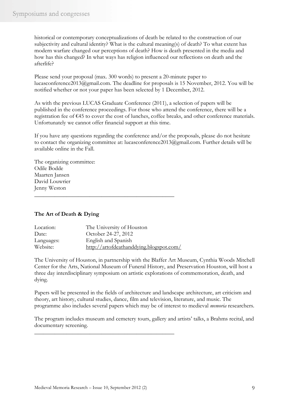historical or contemporary conceptualizations of death be related to the construction of our subjectivity and cultural identity? What is the cultural meaning(s) of death? To what extent has modern warfare changed our perceptions of death? How is death presented in the media and how has this changed? In what ways has religion influenced our reflections on death and the afterlife?

Please send your proposal (max. 300 words) to present a 20-minute paper to lucasconference2013@gmail.com. The deadline for proposals is 15 November, 2012. You will be notified whether or not your paper has been selected by 1 December, 2012.

As with the previous LUCAS Graduate Conference (2011), a selection of papers will be published in the conference proceedings. For those who attend the conference, there will be a registration fee of €45 to cover the cost of lunches, coffee breaks, and other conference materials. Unfortunately we cannot offer financial support at this time.

If you have any questions regarding the conference and/or the proposals, please do not hesitate to contact the organizing committee at: lucasconference2013@gmail.com. Further details will be available online in the Fall.

The organizing committee: Odile Bodde Maarten Jansen David Louwrier Jenny Weston

#### The Art of Death & Dying

| Location:  | The University of Houston               |
|------------|-----------------------------------------|
| Date:      | October 24-27, 2012                     |
| Languages: | English and Spanish                     |
| Website:   | http://artofdeathanddying.blogspot.com/ |

\_\_\_\_\_\_\_\_\_\_\_\_\_\_\_\_\_\_\_\_\_\_\_\_\_\_\_\_\_\_\_\_\_\_\_\_\_\_\_\_\_\_\_\_\_\_\_\_

\_\_\_\_\_\_\_\_\_\_\_\_\_\_\_\_\_\_\_\_\_\_\_\_\_\_\_\_\_\_\_\_\_\_\_\_\_\_\_\_\_\_\_\_\_\_\_\_

The University of Houston, in partnership with the Blaffer Art Museum, Cynthia Woods Mitchell Center for the Arts, National Museum of Funeral History, and Preservation Houston, will host a three day interdisciplinary symposium on artistic explorations of commemoration, death, and dying.

Papers will be presented in the fields of architecture and landscape architecture, art criticism and theory, art history, cultural studies, dance, film and television, literature, and music. The programme also includes several papers which may be of interest to medieval memoria researchers.

The program includes museum and cemetery tours, gallery and artists' talks, a Brahms recital, and documentary screening.